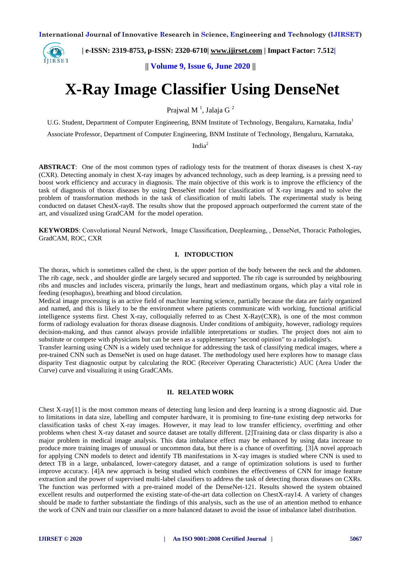

 **| e-ISSN: 2319-8753, p-ISSN: 2320-6710| [www.ijirset.com](http://www.ijirset.com/) | Impact Factor: 7.512|**

**|| Volume 9, Issue 6, June 2020 ||** 

# **X-Ray Image Classifier Using DenseNet**

Prajwal M $^1$ , Jalaja G $^2$ 

U.G. Student, Department of Computer Engineering, BNM Institute of Technology, Bengaluru, Karnataka, India<sup>1</sup>

Associate Professor, Department of Computer Engineering, BNM Institute of Technology, Bengaluru, Karnataka,

India<sup>2</sup>

**ABSTRACT**: One of the most common types of radiology tests for the treatment of thorax diseases is chest X-ray (CXR). Detecting anomaly in chest X-ray images by advanced technology, such as deep learning, is a pressing need to boost work efficiency and accuracy in diagnosis. The main objective of this work is to improve the efficiency of the task of diagnosis of thorax diseases by using DenseNet model for classification of X-ray images and to solve the problem of transformation methods in the task of classification of multi labels. The experimental study is being conducted on dataset ChestX-ray8. The results show that the proposed approach outperformed the current state of the art, and visualized using GradCAM for the model operation.

**KEYWORDS**: Convolutional Neural Network, Image Classification, Deeplearning, , DenseNet, Thoracic Pathologies, GradCAM, ROC, CXR

#### **I. INTODUCTION**

The thorax, which is sometimes called the chest, is the upper portion of the body between the neck and the abdomen. The rib cage, neck , and shoulder girdle are largely secured and supported. The rib cage is surrounded by neighbouring ribs and muscles and includes viscera, primarily the lungs, heart and mediastinum organs, which play a vital role in feeding (esophagus), breathing and blood circulation.

Medical image processing is an active field of machine learning science, partially because the data are fairly organized and named, and this is likely to be the environment where patients communicate with working, functional artificial intelligence systems first. Chest X-ray, colloquially referred to as Chest X-Ray(CXR), is one of the most common forms of radiology evaluation for thorax disease diagnosis. Under conditions of ambiguity, however, radiology requires decision-making, and thus cannot always provide infallible interpretations or studies. The project does not aim to substitute or compete with physicians but can be seen as a supplementary "second opinion" to a radiologist's.

Transfer learning using CNN is a widely used technique for addressing the task of classifying medical images, where a pre-trained CNN such as DenseNet is used on huge dataset. The methodology used here explores how to manage class disparity Test diagnostic output by calculating the ROC (Receiver Operating Characteristic) AUC (Area Under the Curve) curve and visualizing it using GradCAMs.

#### **II. RELATED WORK**

Chest X-ray[1] is the most common means of detecting lung lesion and deep learning is a strong diagnostic aid. Due to limitations in data size, labelling and computer hardware, it is promising to fine-tune existing deep networks for classification tasks of chest X-ray images. However, it may lead to low transfer efficiency, overfitting and other problems when chest X-ray dataset and source dataset are totally different. [2]Training data or class disparity is also a major problem in medical image analysis. This data imbalance effect may be enhanced by using data increase to produce more training images of unusual or uncommon data, but there is a chance of overfitting. [3]A novel approach for applying CNN models to detect and identify TB manifestations in X-ray images is studied where CNN is used to detect TB in a large, unbalanced, lower-category dataset, and a range of optimization solutions is used to further improve accuracy. [4]A new approach is being studied which combines the effectiveness of CNN for image feature extraction and the power of supervised multi-label classifiers to address the task of detecting thorax diseases on CXRs. The function was performed with a pre-trained model of the DenseNet-121. Results showed the system obtained excellent results and outperformed the existing state-of-the-art data collection on ChestX-ray14. A variety of changes should be made to further substantiate the findings of this analysis, such as the use of an attention method to enhance the work of CNN and train our classifier on a more balanced dataset to avoid the issue of imbalance label distribution.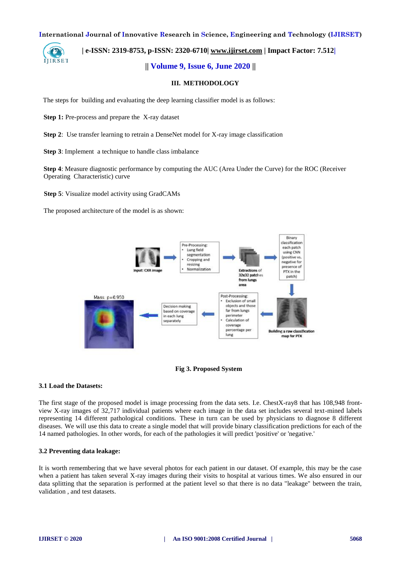

### **| e-ISSN: 2319-8753, p-ISSN: 2320-6710| [www.ijirset.com](http://www.ijirset.com/) | Impact Factor: 7.512|**

#### **|| Volume 9, Issue 6, June 2020 ||**

#### **III. METHODOLOGY**

The steps for building and evaluating the deep learning classifier model is as follows:

**Step 1:** Pre-process and prepare the X-ray dataset

**Step 2**: Use transfer learning to retrain a DenseNet model for X-ray image classification

**Step 3**: Implement a technique to handle class imbalance

**Step 4**: Measure diagnostic performance by computing the AUC (Area Under the Curve) for the ROC (Receiver Operating Characteristic) curve

**Step 5**: Visualize model activity using GradCAMs

The proposed architecture of the model is as shown:





#### **3.1 Load the Datasets:**

The first stage of the proposed model is image processing from the data sets. I.e. ChestX-ray8 that has 108,948 frontview X-ray images of 32,717 individual patients where each image in the data set includes several text-mined labels representing 14 different pathological conditions. These in turn can be used by physicians to diagnose 8 different diseases. We will use this data to create a single model that will provide binary classification predictions for each of the 14 named pathologies. In other words, for each of the pathologies it will predict 'positive' or 'negative.'

#### **3.2 Preventing data leakage:**

It is worth remembering that we have several photos for each patient in our dataset. Of example, this may be the case when a patient has taken several X-ray images during their visits to hospital at various times. We also ensured in our data splitting that the separation is performed at the patient level so that there is no data "leakage" between the train, validation , and test datasets.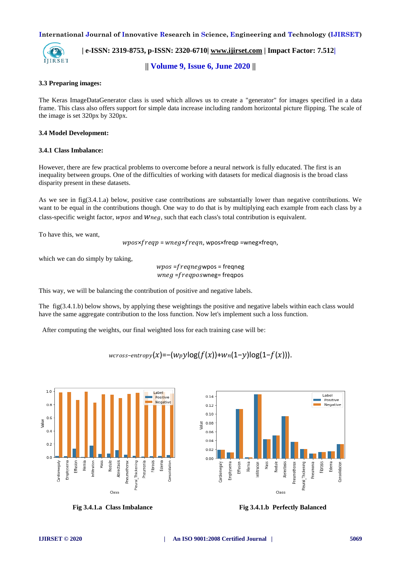

 **| e-ISSN: 2319-8753, p-ISSN: 2320-6710| [www.ijirset.com](http://www.ijirset.com/) | Impact Factor: 7.512|**

**|| Volume 9, Issue 6, June 2020 ||** 

#### **3.3 Preparing images:**

The Keras ImageDataGenerator class is used which allows us to create a "generator" for images specified in a data frame. This class also offers support for simple data increase including random horizontal picture flipping. The scale of the image is set 320px by 320px.

#### **3.4 Model Development:**

#### **3.4.1 Class Imbalance:**

However, there are few practical problems to overcome before a neural network is fully educated. The first is an inequality between groups. One of the difficulties of working with datasets for medical diagnosis is the broad class disparity present in these datasets.

As we see in fig(3.4.1.a) below, positive case contributions are substantially lower than negative contributions. We want to be equal in the contributions though. One way to do that is by multiplying each example from each class by a class-specific weight factor, wpos and  $Wneg$ , such that each class's total contribution is equivalent.

To have this, we want,

 $wpos{\times}freqp = wneg{\times}freqn$ , wpos ${\times}freqp = wneg{\times}freqn$ ,

which we can do simply by taking,

 $wpos = frequencywpos = frequency$  $wneg$  = freqposwneg= freqpos

This way, we will be balancing the contribution of positive and negative labels.

The fig(3.4.1.b) below shows, by applying these weightings the positive and negative labels within each class would have the same aggregate contribution to the loss function. Now let's implement such a loss function.

After computing the weights, our final weighted loss for each training case will be:

 $wcross-entropy(x) = -(Wpylog(f(x))+ Wn(1-y)log(1-f(x))).$ 

 $0.14$ 

 $0.12$ 

 $0.10$ 

 $0.08$ alue

 $0.06$  $0.04$ 

0.02

 $0.00$ 

Effusion

imphysema

ardiomegaly

ria<br>Hernia

nfiltration

Mass

vodule Atelectasis Pneumothorax





 **Fig 3.4.1.a Class Imbalance Fig 3.4.1.b Perfectly Balanced**

Class

Label

Fibrosis

Pleural Thickening Pneumonia Edema **Consolidation** 

.<br>Positive

Negative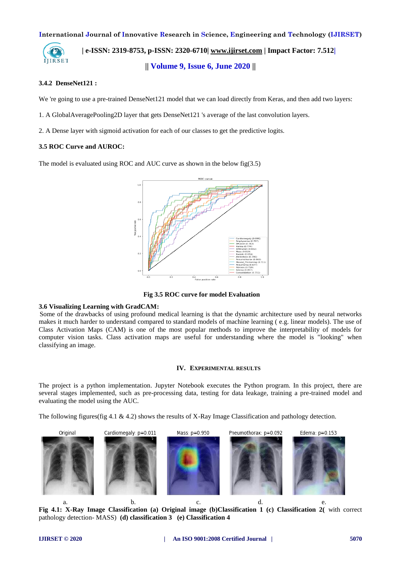

 **| e-ISSN: 2319-8753, p-ISSN: 2320-6710| [www.ijirset.com](http://www.ijirset.com/) | Impact Factor: 7.512|**

**|| Volume 9, Issue 6, June 2020 ||** 

#### **3.4.2 [DenseNet121](https://www.kaggle.com/pytorch/densenet121) :**

We 're going to use a pre-trained DenseNet121 model that we can load directly from Keras, and then add two layers:

- 1. A GlobalAveragePooling2D layer that gets DenseNet121 's average of the last convolution layers.
- 2. A Dense layer with sigmoid activation for each of our classes to get the predictive logits.

#### **3.5 ROC Curve and AUROC:**

The model is evaluated using ROC and AUC curve as shown in the below fig(3.5)



 **Fig 3.5 ROC curve for model Evaluation**

#### **3.6 Visualizing Learning with GradCAM:**

 Some of the drawbacks of using profound medical learning is that the dynamic architecture used by neural networks makes it much harder to understand compared to standard models of machine learning ( e.g. linear models). The use of Class Activation Maps (CAM) is one of the most popular methods to improve the interpretability of models for computer vision tasks. Class activation maps are useful for understanding where the model is "looking" when classifying an image.

#### **IV. EXPERIMENTAL RESULTS**

The project is a python implementation. Jupyter Notebook executes the Python program. In this project, there are several stages implemented, such as pre-processing data, testing for data leakage, training a pre-trained model and evaluating the model using the AUC.

The following figures(fig 4.1 & 4.2) shows the results of X-Ray Image Classification and pathology detection.



**Fig 4.1: X-Ray Image Classification (a) Original image (b)Classification 1 (c) Classification 2(** with correct pathology detection- MASS) **(d) classification 3 (e) Classification 4**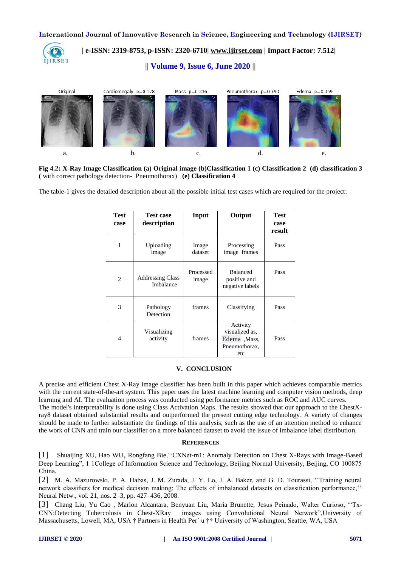

# **| e-ISSN: 2319-8753, p-ISSN: 2320-6710| [www.ijirset.com](http://www.ijirset.com/) | Impact Factor: 7.512|**

# **|| Volume 9, Issue 6, June 2020 ||**



**Fig 4.2: X-Ray Image Classification (a) Original image (b)Classification 1 (c) Classification 2 (d) classification 3 (** with correct pathology detection- Pneumothorax) **(e) Classification 4**

The table-1 gives the detailed description about all the possible initial test cases which are required for the project:

| Test<br>case   | <b>Test case</b><br>description      | Input              | Output                                                             | <b>Test</b><br>case<br>result |
|----------------|--------------------------------------|--------------------|--------------------------------------------------------------------|-------------------------------|
| 1              | Uploading<br>image                   | Image<br>dataset   | Processing<br>image frames                                         | Pass                          |
| $\overline{c}$ | <b>Addressing Class</b><br>Imbalance | Processed<br>image | <b>Balanced</b><br>positive and<br>negative labels                 | Pass                          |
| 3              | Pathology<br>Detection               | frames             | Classifying                                                        | Pass                          |
| $\overline{4}$ | Visualizing<br>activity              | frames             | Activity<br>visualized as,<br>Edema, Mass,<br>Pneumothorax.<br>etc | Pass                          |

#### **V. CONCLUSION**

A precise and efficient Chest X-Ray image classifier has been built in this paper which achieves comparable metrics with the current state-of-the-art system. This paper uses the latest machine learning and computer vision methods, deep learning and AI. The evaluation process was conducted using performance metrics such as ROC and AUC curves. The model's interpretability is done using Class Activation Maps. The results showed that our approach to the ChestXray8 dataset obtained substantial results and outperformed the present cutting edge technology. A variety of changes should be made to further substantiate the findings of this analysis, such as the use of an attention method to enhance the work of CNN and train our classifier on a more balanced dataset to avoid the issue of imbalance label distribution.

#### **REFERENCES**

[1] Shuaijing XU, Hao WU, Rongfang Bie,''CXNet-m1: Anomaly Detection on Chest X-Rays with Image-Based Deep Learning", 1 1College of Information Science and Technology, Beijing Normal University, Beijing, CO 100875 China.

[2] M. A. Mazurowski, P. A. Habas, J. M. Zurada, J. Y. Lo, J. A. Baker, and G. D. Tourassi, ''Training neural network classifiers for medical decision making: The effects of imbalanced datasets on classification performance,'' Neural Netw., vol. 21, nos. 2–3, pp. 427–436, 2008.

[3] Chang Liu, Yu Cao , Marlon Alcantara, Benyuan Liu, Maria Brunette, Jesus Peinado, Walter Curioso, ''Tx-CNN:Detecting Tubercolosis in Chest-XRay images using Convolutional Neural Network",University of Massachusetts, Lowell, MA, USA † Partners in Health Per´ u †† University of Washington, Seattle, WA, USA